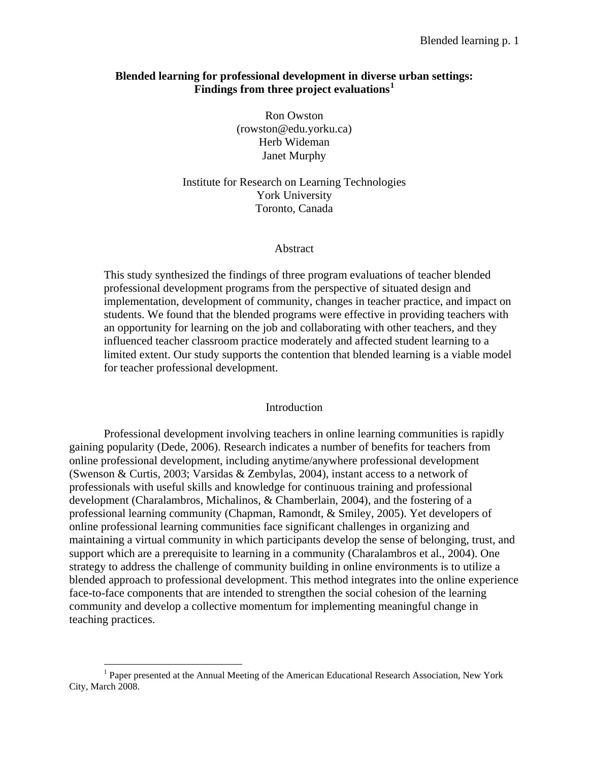# **Blended learning for professional development in diverse urban settings: Findings from three project evaluations[1](#page-0-0)**

Ron Owston (rowston@edu.yorku.ca) Herb Wideman Janet Murphy

Institute for Research on Learning Technologies York University Toronto, Canada

# Abstract

This study synthesized the findings of three program evaluations of teacher blended professional development programs from the perspective of situated design and implementation, development of community, changes in teacher practice, and impact on students. We found that the blended programs were effective in providing teachers with an opportunity for learning on the job and collaborating with other teachers, and they influenced teacher classroom practice moderately and affected student learning to a limited extent. Our study supports the contention that blended learning is a viable model for teacher professional development.

# Introduction

Professional development involving teachers in online learning communities is rapidly gaining popularity (Dede, 2006). Research indicates a number of benefits for teachers from online professional development, including anytime/anywhere professional development (Swenson & Curtis, 2003; Varsidas & Zembylas, 2004), instant access to a network of professionals with useful skills and knowledge for continuous training and professional development (Charalambros, Michalinos, & Chamberlain, 2004), and the fostering of a professional learning community (Chapman, Ramondt, & Smiley, 2005). Yet developers of online professional learning communities face significant challenges in organizing and maintaining a virtual community in which participants develop the sense of belonging, trust, and support which are a prerequisite to learning in a community (Charalambros et al., 2004). One strategy to address the challenge of community building in online environments is to utilize a blended approach to professional development. This method integrates into the online experience face-to-face components that are intended to strengthen the social cohesion of the learning community and develop a collective momentum for implementing meaningful change in teaching practices.

 $\overline{a}$ 

<span id="page-0-0"></span><sup>&</sup>lt;sup>1</sup> Paper presented at the Annual Meeting of the American Educational Research Association, New York City, March 2008.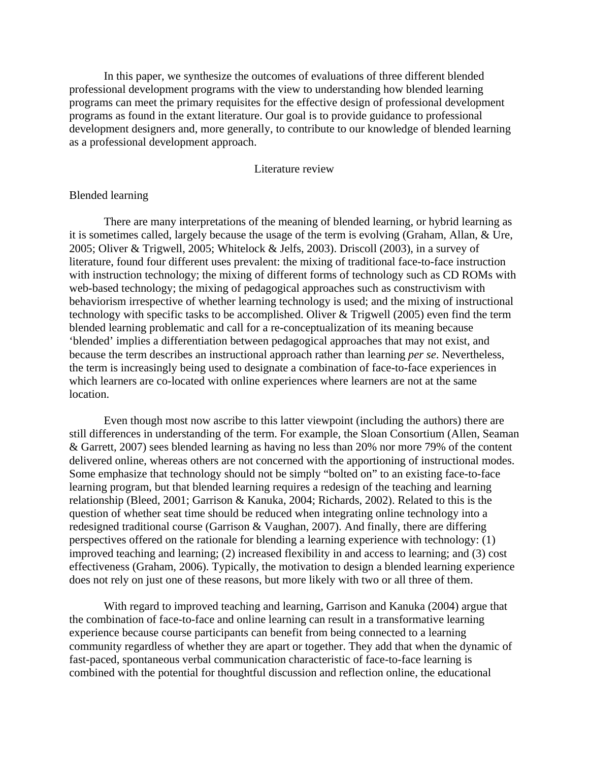In this paper, we synthesize the outcomes of evaluations of three different blended professional development programs with the view to understanding how blended learning programs can meet the primary requisites for the effective design of professional development programs as found in the extant literature. Our goal is to provide guidance to professional development designers and, more generally, to contribute to our knowledge of blended learning as a professional development approach.

# Literature review

### Blended learning

There are many interpretations of the meaning of blended learning, or hybrid learning as it is sometimes called, largely because the usage of the term is evolving (Graham, Allan, & Ure, 2005; Oliver & Trigwell, 2005; Whitelock & Jelfs, 2003). Driscoll (2003), in a survey of literature, found four different uses prevalent: the mixing of traditional face-to-face instruction with instruction technology; the mixing of different forms of technology such as CD ROMs with web-based technology; the mixing of pedagogical approaches such as constructivism with behaviorism irrespective of whether learning technology is used; and the mixing of instructional technology with specific tasks to be accomplished. Oliver & Trigwell (2005) even find the term blended learning problematic and call for a re-conceptualization of its meaning because 'blended' implies a differentiation between pedagogical approaches that may not exist, and because the term describes an instructional approach rather than learning *per se*. Nevertheless, the term is increasingly being used to designate a combination of face-to-face experiences in which learners are co-located with online experiences where learners are not at the same location.

Even though most now ascribe to this latter viewpoint (including the authors) there are still differences in understanding of the term. For example, the Sloan Consortium (Allen, Seaman & Garrett, 2007) sees blended learning as having no less than 20% nor more 79% of the content delivered online, whereas others are not concerned with the apportioning of instructional modes. Some emphasize that technology should not be simply "bolted on" to an existing face-to-face learning program, but that blended learning requires a redesign of the teaching and learning relationship (Bleed, 2001; Garrison & Kanuka, 2004; Richards, 2002). Related to this is the question of whether seat time should be reduced when integrating online technology into a redesigned traditional course (Garrison & Vaughan, 2007). And finally, there are differing perspectives offered on the rationale for blending a learning experience with technology: (1) improved teaching and learning; (2) increased flexibility in and access to learning; and (3) cost effectiveness (Graham, 2006). Typically, the motivation to design a blended learning experience does not rely on just one of these reasons, but more likely with two or all three of them.

With regard to improved teaching and learning, Garrison and Kanuka (2004) argue that the combination of face-to-face and online learning can result in a transformative learning experience because course participants can benefit from being connected to a learning community regardless of whether they are apart or together. They add that when the dynamic of fast-paced, spontaneous verbal communication characteristic of face-to-face learning is combined with the potential for thoughtful discussion and reflection online, the educational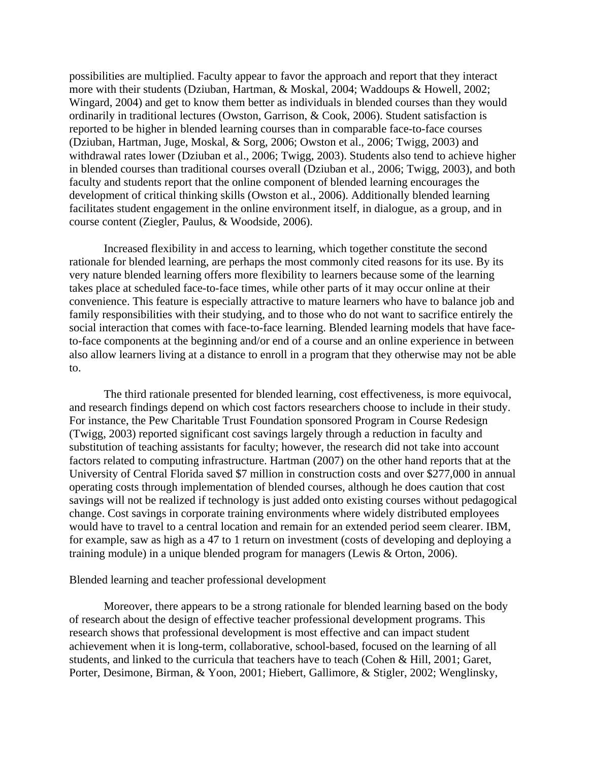possibilities are multiplied. Faculty appear to favor the approach and report that they interact more with their students (Dziuban, Hartman, & Moskal, 2004; Waddoups & Howell, 2002; Wingard, 2004) and get to know them better as individuals in blended courses than they would ordinarily in traditional lectures (Owston, Garrison, & Cook, 2006). Student satisfaction is reported to be higher in blended learning courses than in comparable face-to-face courses (Dziuban, Hartman, Juge, Moskal, & Sorg, 2006; Owston et al., 2006; Twigg, 2003) and withdrawal rates lower (Dziuban et al., 2006; Twigg, 2003). Students also tend to achieve higher in blended courses than traditional courses overall (Dziuban et al., 2006; Twigg, 2003), and both faculty and students report that the online component of blended learning encourages the development of critical thinking skills (Owston et al., 2006). Additionally blended learning facilitates student engagement in the online environment itself, in dialogue, as a group, and in course content (Ziegler, Paulus, & Woodside, 2006).

Increased flexibility in and access to learning, which together constitute the second rationale for blended learning, are perhaps the most commonly cited reasons for its use. By its very nature blended learning offers more flexibility to learners because some of the learning takes place at scheduled face-to-face times, while other parts of it may occur online at their convenience. This feature is especially attractive to mature learners who have to balance job and family responsibilities with their studying, and to those who do not want to sacrifice entirely the social interaction that comes with face-to-face learning. Blended learning models that have faceto-face components at the beginning and/or end of a course and an online experience in between also allow learners living at a distance to enroll in a program that they otherwise may not be able to.

The third rationale presented for blended learning, cost effectiveness, is more equivocal, and research findings depend on which cost factors researchers choose to include in their study. For instance, the Pew Charitable Trust Foundation sponsored Program in Course Redesign (Twigg, 2003) reported significant cost savings largely through a reduction in faculty and substitution of teaching assistants for faculty; however, the research did not take into account factors related to computing infrastructure. Hartman (2007) on the other hand reports that at the University of Central Florida saved \$7 million in construction costs and over \$277,000 in annual operating costs through implementation of blended courses, although he does caution that cost savings will not be realized if technology is just added onto existing courses without pedagogical change. Cost savings in corporate training environments where widely distributed employees would have to travel to a central location and remain for an extended period seem clearer. IBM, for example, saw as high as a 47 to 1 return on investment (costs of developing and deploying a training module) in a unique blended program for managers (Lewis & Orton, 2006).

#### Blended learning and teacher professional development

Moreover, there appears to be a strong rationale for blended learning based on the body of research about the design of effective teacher professional development programs. This research shows that professional development is most effective and can impact student achievement when it is long-term, collaborative, school-based, focused on the learning of all students, and linked to the curricula that teachers have to teach (Cohen & Hill, 2001; Garet, Porter, Desimone, Birman, & Yoon, 2001; Hiebert, Gallimore, & Stigler, 2002; Wenglinsky,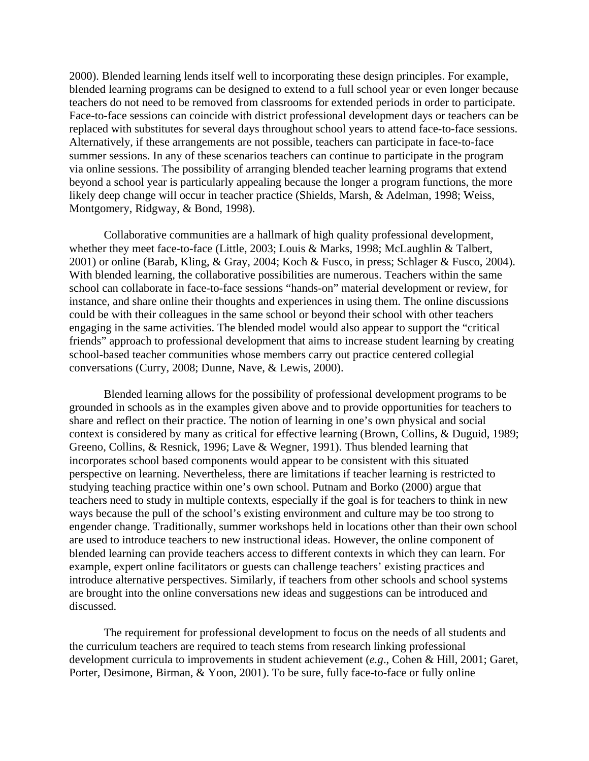2000). Blended learning lends itself well to incorporating these design principles. For example, blended learning programs can be designed to extend to a full school year or even longer because teachers do not need to be removed from classrooms for extended periods in order to participate. Face-to-face sessions can coincide with district professional development days or teachers can be replaced with substitutes for several days throughout school years to attend face-to-face sessions. Alternatively, if these arrangements are not possible, teachers can participate in face-to-face summer sessions. In any of these scenarios teachers can continue to participate in the program via online sessions. The possibility of arranging blended teacher learning programs that extend beyond a school year is particularly appealing because the longer a program functions, the more likely deep change will occur in teacher practice (Shields, Marsh, & Adelman, 1998; Weiss, Montgomery, Ridgway, & Bond, 1998).

Collaborative communities are a hallmark of high quality professional development, whether they meet face-to-face (Little, 2003; Louis & Marks, 1998; McLaughlin & Talbert, 2001) or online (Barab, Kling, & Gray, 2004; Koch & Fusco, in press; Schlager & Fusco, 2004). With blended learning, the collaborative possibilities are numerous. Teachers within the same school can collaborate in face-to-face sessions "hands-on" material development or review, for instance, and share online their thoughts and experiences in using them. The online discussions could be with their colleagues in the same school or beyond their school with other teachers engaging in the same activities. The blended model would also appear to support the "critical friends" approach to professional development that aims to increase student learning by creating school-based teacher communities whose members carry out practice centered collegial conversations (Curry, 2008; Dunne, Nave, & Lewis, 2000).

Blended learning allows for the possibility of professional development programs to be grounded in schools as in the examples given above and to provide opportunities for teachers to share and reflect on their practice. The notion of learning in one's own physical and social context is considered by many as critical for effective learning (Brown, Collins, & Duguid, 1989; Greeno, Collins, & Resnick, 1996; Lave & Wegner, 1991). Thus blended learning that incorporates school based components would appear to be consistent with this situated perspective on learning. Nevertheless, there are limitations if teacher learning is restricted to studying teaching practice within one's own school. Putnam and Borko (2000) argue that teachers need to study in multiple contexts, especially if the goal is for teachers to think in new ways because the pull of the school's existing environment and culture may be too strong to engender change. Traditionally, summer workshops held in locations other than their own school are used to introduce teachers to new instructional ideas. However, the online component of blended learning can provide teachers access to different contexts in which they can learn. For example, expert online facilitators or guests can challenge teachers' existing practices and introduce alternative perspectives. Similarly, if teachers from other schools and school systems are brought into the online conversations new ideas and suggestions can be introduced and discussed.

The requirement for professional development to focus on the needs of all students and the curriculum teachers are required to teach stems from research linking professional development curricula to improvements in student achievement (*e.g*., Cohen & Hill, 2001; Garet, Porter, Desimone, Birman, & Yoon, 2001). To be sure, fully face-to-face or fully online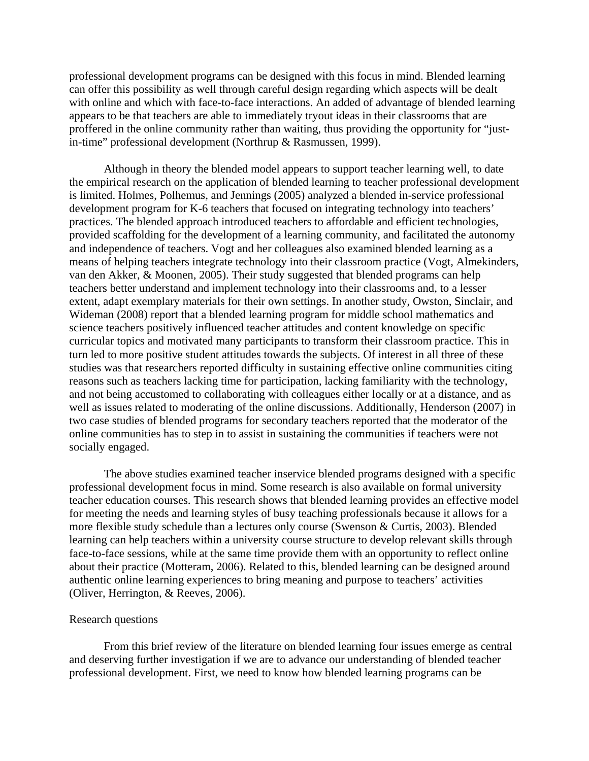professional development programs can be designed with this focus in mind. Blended learning can offer this possibility as well through careful design regarding which aspects will be dealt with online and which with face-to-face interactions. An added of advantage of blended learning appears to be that teachers are able to immediately tryout ideas in their classrooms that are proffered in the online community rather than waiting, thus providing the opportunity for "justin-time" professional development (Northrup & Rasmussen, 1999).

Although in theory the blended model appears to support teacher learning well, to date the empirical research on the application of blended learning to teacher professional development is limited. Holmes, Polhemus, and Jennings (2005) analyzed a blended in-service professional development program for K-6 teachers that focused on integrating technology into teachers' practices. The blended approach introduced teachers to affordable and efficient technologies, provided scaffolding for the development of a learning community, and facilitated the autonomy and independence of teachers. Vogt and her colleagues also examined blended learning as a means of helping teachers integrate technology into their classroom practice (Vogt, Almekinders, van den Akker, & Moonen, 2005). Their study suggested that blended programs can help teachers better understand and implement technology into their classrooms and, to a lesser extent, adapt exemplary materials for their own settings. In another study, Owston, Sinclair, and Wideman (2008) report that a blended learning program for middle school mathematics and science teachers positively influenced teacher attitudes and content knowledge on specific curricular topics and motivated many participants to transform their classroom practice. This in turn led to more positive student attitudes towards the subjects. Of interest in all three of these studies was that researchers reported difficulty in sustaining effective online communities citing reasons such as teachers lacking time for participation, lacking familiarity with the technology, and not being accustomed to collaborating with colleagues either locally or at a distance, and as well as issues related to moderating of the online discussions. Additionally, Henderson (2007) in two case studies of blended programs for secondary teachers reported that the moderator of the online communities has to step in to assist in sustaining the communities if teachers were not socially engaged.

The above studies examined teacher inservice blended programs designed with a specific professional development focus in mind. Some research is also available on formal university teacher education courses. This research shows that blended learning provides an effective model for meeting the needs and learning styles of busy teaching professionals because it allows for a more flexible study schedule than a lectures only course (Swenson & Curtis, 2003). Blended learning can help teachers within a university course structure to develop relevant skills through face-to-face sessions, while at the same time provide them with an opportunity to reflect online about their practice (Motteram, 2006). Related to this, blended learning can be designed around authentic online learning experiences to bring meaning and purpose to teachers' activities (Oliver, Herrington, & Reeves, 2006).

### Research questions

From this brief review of the literature on blended learning four issues emerge as central and deserving further investigation if we are to advance our understanding of blended teacher professional development. First, we need to know how blended learning programs can be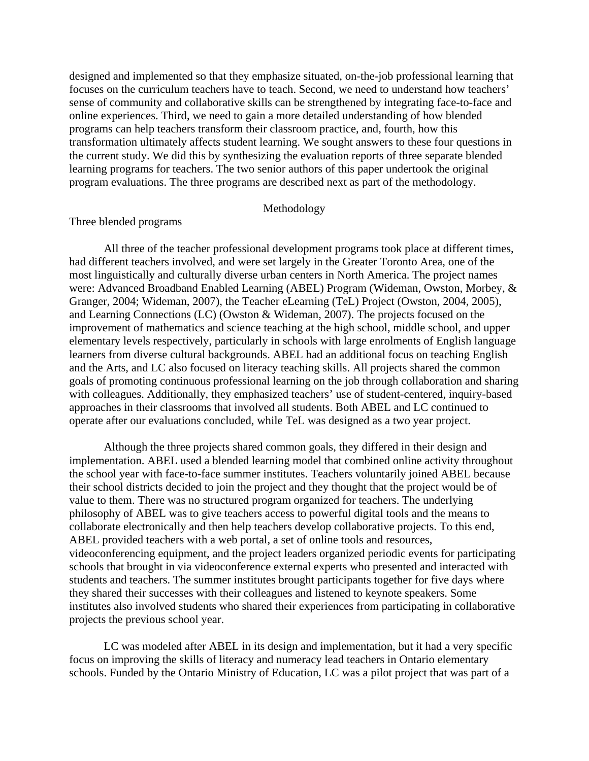designed and implemented so that they emphasize situated, on-the-job professional learning that focuses on the curriculum teachers have to teach. Second, we need to understand how teachers' sense of community and collaborative skills can be strengthened by integrating face-to-face and online experiences. Third, we need to gain a more detailed understanding of how blended programs can help teachers transform their classroom practice, and, fourth, how this transformation ultimately affects student learning. We sought answers to these four questions in the current study. We did this by synthesizing the evaluation reports of three separate blended learning programs for teachers. The two senior authors of this paper undertook the original program evaluations. The three programs are described next as part of the methodology.

### Methodology

# Three blended programs

All three of the teacher professional development programs took place at different times, had different teachers involved, and were set largely in the Greater Toronto Area, one of the most linguistically and culturally diverse urban centers in North America. The project names were: Advanced Broadband Enabled Learning (ABEL) Program (Wideman, Owston, Morbey, & Granger, 2004; Wideman, 2007), the Teacher eLearning (TeL) Project (Owston, 2004, 2005), and Learning Connections (LC) (Owston & Wideman, 2007). The projects focused on the improvement of mathematics and science teaching at the high school, middle school, and upper elementary levels respectively, particularly in schools with large enrolments of English language learners from diverse cultural backgrounds. ABEL had an additional focus on teaching English and the Arts, and LC also focused on literacy teaching skills. All projects shared the common goals of promoting continuous professional learning on the job through collaboration and sharing with colleagues. Additionally, they emphasized teachers' use of student-centered, inquiry-based approaches in their classrooms that involved all students. Both ABEL and LC continued to operate after our evaluations concluded, while TeL was designed as a two year project.

Although the three projects shared common goals, they differed in their design and implementation. ABEL used a blended learning model that combined online activity throughout the school year with face-to-face summer institutes. Teachers voluntarily joined ABEL because their school districts decided to join the project and they thought that the project would be of value to them. There was no structured program organized for teachers. The underlying philosophy of ABEL was to give teachers access to powerful digital tools and the means to collaborate electronically and then help teachers develop collaborative projects. To this end, ABEL provided teachers with a web portal, a set of online tools and resources, videoconferencing equipment, and the project leaders organized periodic events for participating schools that brought in via videoconference external experts who presented and interacted with students and teachers. The summer institutes brought participants together for five days where they shared their successes with their colleagues and listened to keynote speakers. Some institutes also involved students who shared their experiences from participating in collaborative projects the previous school year.

LC was modeled after ABEL in its design and implementation, but it had a very specific focus on improving the skills of literacy and numeracy lead teachers in Ontario elementary schools. Funded by the Ontario Ministry of Education, LC was a pilot project that was part of a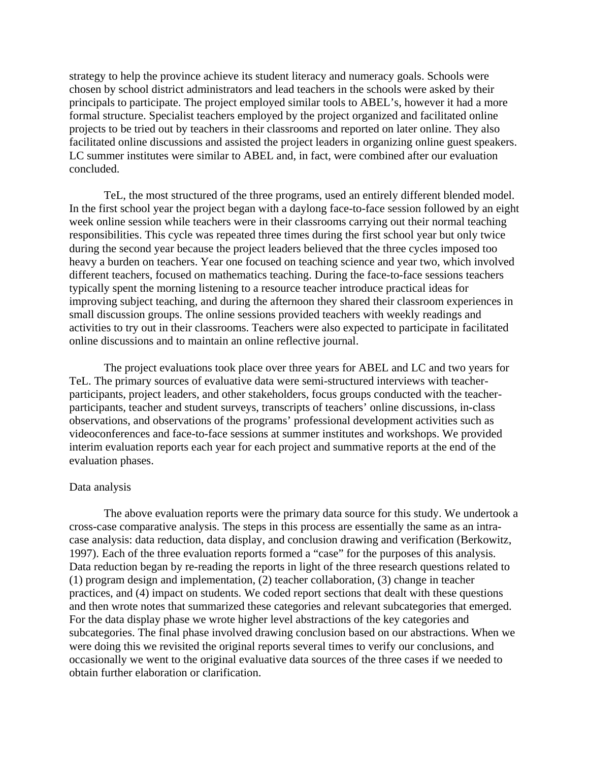strategy to help the province achieve its student literacy and numeracy goals. Schools were chosen by school district administrators and lead teachers in the schools were asked by their principals to participate. The project employed similar tools to ABEL's, however it had a more formal structure. Specialist teachers employed by the project organized and facilitated online projects to be tried out by teachers in their classrooms and reported on later online. They also facilitated online discussions and assisted the project leaders in organizing online guest speakers. LC summer institutes were similar to ABEL and, in fact, were combined after our evaluation concluded.

TeL, the most structured of the three programs, used an entirely different blended model. In the first school year the project began with a daylong face-to-face session followed by an eight week online session while teachers were in their classrooms carrying out their normal teaching responsibilities. This cycle was repeated three times during the first school year but only twice during the second year because the project leaders believed that the three cycles imposed too heavy a burden on teachers. Year one focused on teaching science and year two, which involved different teachers, focused on mathematics teaching. During the face-to-face sessions teachers typically spent the morning listening to a resource teacher introduce practical ideas for improving subject teaching, and during the afternoon they shared their classroom experiences in small discussion groups. The online sessions provided teachers with weekly readings and activities to try out in their classrooms. Teachers were also expected to participate in facilitated online discussions and to maintain an online reflective journal.

The project evaluations took place over three years for ABEL and LC and two years for TeL. The primary sources of evaluative data were semi-structured interviews with teacherparticipants, project leaders, and other stakeholders, focus groups conducted with the teacherparticipants, teacher and student surveys, transcripts of teachers' online discussions, in-class observations, and observations of the programs' professional development activities such as videoconferences and face-to-face sessions at summer institutes and workshops. We provided interim evaluation reports each year for each project and summative reports at the end of the evaluation phases.

#### Data analysis

The above evaluation reports were the primary data source for this study. We undertook a cross-case comparative analysis. The steps in this process are essentially the same as an intracase analysis: data reduction, data display, and conclusion drawing and verification (Berkowitz, 1997). Each of the three evaluation reports formed a "case" for the purposes of this analysis. Data reduction began by re-reading the reports in light of the three research questions related to (1) program design and implementation, (2) teacher collaboration, (3) change in teacher practices, and (4) impact on students. We coded report sections that dealt with these questions and then wrote notes that summarized these categories and relevant subcategories that emerged. For the data display phase we wrote higher level abstractions of the key categories and subcategories. The final phase involved drawing conclusion based on our abstractions. When we were doing this we revisited the original reports several times to verify our conclusions, and occasionally we went to the original evaluative data sources of the three cases if we needed to obtain further elaboration or clarification.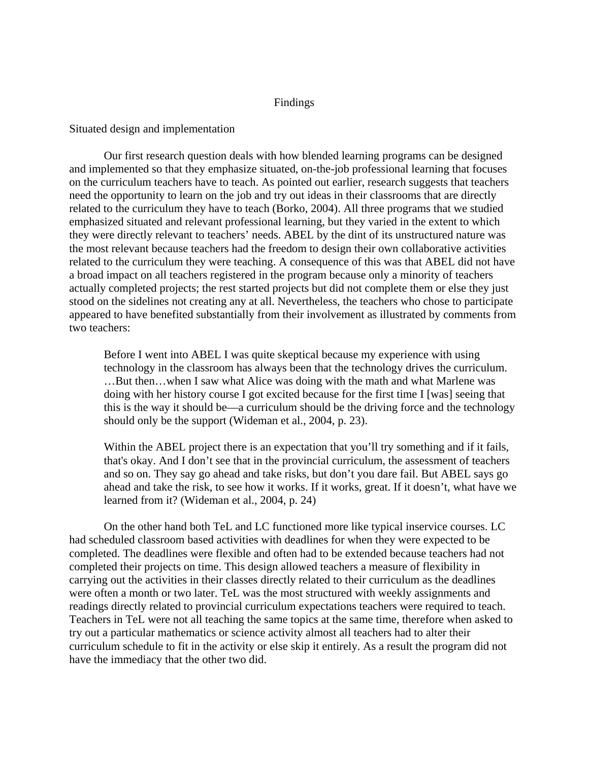## Findings

### Situated design and implementation

Our first research question deals with how blended learning programs can be designed and implemented so that they emphasize situated, on-the-job professional learning that focuses on the curriculum teachers have to teach. As pointed out earlier, research suggests that teachers need the opportunity to learn on the job and try out ideas in their classrooms that are directly related to the curriculum they have to teach (Borko, 2004). All three programs that we studied emphasized situated and relevant professional learning, but they varied in the extent to which they were directly relevant to teachers' needs. ABEL by the dint of its unstructured nature was the most relevant because teachers had the freedom to design their own collaborative activities related to the curriculum they were teaching. A consequence of this was that ABEL did not have a broad impact on all teachers registered in the program because only a minority of teachers actually completed projects; the rest started projects but did not complete them or else they just stood on the sidelines not creating any at all. Nevertheless, the teachers who chose to participate appeared to have benefited substantially from their involvement as illustrated by comments from two teachers:

Before I went into ABEL I was quite skeptical because my experience with using technology in the classroom has always been that the technology drives the curriculum. …But then…when I saw what Alice was doing with the math and what Marlene was doing with her history course I got excited because for the first time I [was] seeing that this is the way it should be—a curriculum should be the driving force and the technology should only be the support (Wideman et al., 2004, p. 23).

Within the ABEL project there is an expectation that you'll try something and if it fails, that's okay. And I don't see that in the provincial curriculum, the assessment of teachers and so on. They say go ahead and take risks, but don't you dare fail. But ABEL says go ahead and take the risk, to see how it works. If it works, great. If it doesn't, what have we learned from it? (Wideman et al., 2004, p. 24)

On the other hand both TeL and LC functioned more like typical inservice courses. LC had scheduled classroom based activities with deadlines for when they were expected to be completed. The deadlines were flexible and often had to be extended because teachers had not completed their projects on time. This design allowed teachers a measure of flexibility in carrying out the activities in their classes directly related to their curriculum as the deadlines were often a month or two later. TeL was the most structured with weekly assignments and readings directly related to provincial curriculum expectations teachers were required to teach. Teachers in TeL were not all teaching the same topics at the same time, therefore when asked to try out a particular mathematics or science activity almost all teachers had to alter their curriculum schedule to fit in the activity or else skip it entirely. As a result the program did not have the immediacy that the other two did.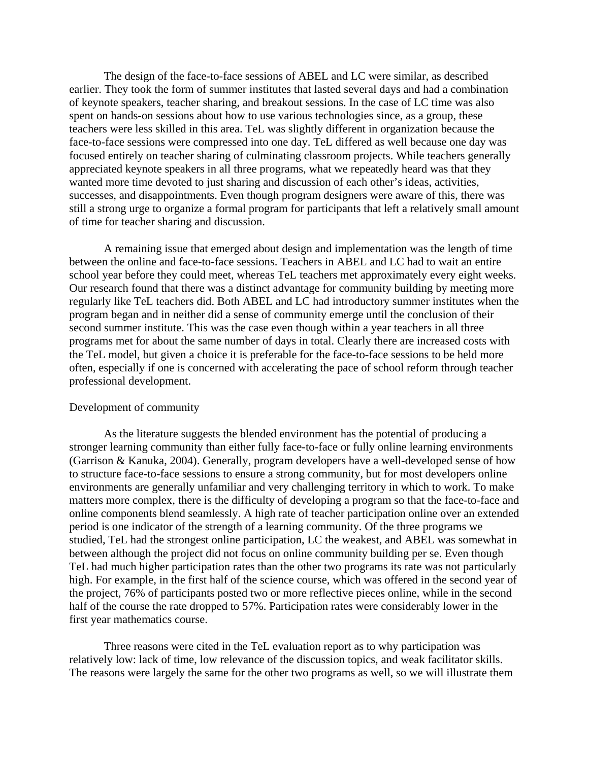The design of the face-to-face sessions of ABEL and LC were similar, as described earlier. They took the form of summer institutes that lasted several days and had a combination of keynote speakers, teacher sharing, and breakout sessions. In the case of LC time was also spent on hands-on sessions about how to use various technologies since, as a group, these teachers were less skilled in this area. TeL was slightly different in organization because the face-to-face sessions were compressed into one day. TeL differed as well because one day was focused entirely on teacher sharing of culminating classroom projects. While teachers generally appreciated keynote speakers in all three programs, what we repeatedly heard was that they wanted more time devoted to just sharing and discussion of each other's ideas, activities, successes, and disappointments. Even though program designers were aware of this, there was still a strong urge to organize a formal program for participants that left a relatively small amount of time for teacher sharing and discussion.

A remaining issue that emerged about design and implementation was the length of time between the online and face-to-face sessions. Teachers in ABEL and LC had to wait an entire school year before they could meet, whereas TeL teachers met approximately every eight weeks. Our research found that there was a distinct advantage for community building by meeting more regularly like TeL teachers did. Both ABEL and LC had introductory summer institutes when the program began and in neither did a sense of community emerge until the conclusion of their second summer institute. This was the case even though within a year teachers in all three programs met for about the same number of days in total. Clearly there are increased costs with the TeL model, but given a choice it is preferable for the face-to-face sessions to be held more often, especially if one is concerned with accelerating the pace of school reform through teacher professional development.

#### Development of community

As the literature suggests the blended environment has the potential of producing a stronger learning community than either fully face-to-face or fully online learning environments (Garrison & Kanuka, 2004). Generally, program developers have a well-developed sense of how to structure face-to-face sessions to ensure a strong community, but for most developers online environments are generally unfamiliar and very challenging territory in which to work. To make matters more complex, there is the difficulty of developing a program so that the face-to-face and online components blend seamlessly. A high rate of teacher participation online over an extended period is one indicator of the strength of a learning community. Of the three programs we studied, TeL had the strongest online participation, LC the weakest, and ABEL was somewhat in between although the project did not focus on online community building per se. Even though TeL had much higher participation rates than the other two programs its rate was not particularly high. For example, in the first half of the science course, which was offered in the second year of the project, 76% of participants posted two or more reflective pieces online, while in the second half of the course the rate dropped to 57%. Participation rates were considerably lower in the first year mathematics course.

Three reasons were cited in the TeL evaluation report as to why participation was relatively low: lack of time, low relevance of the discussion topics, and weak facilitator skills. The reasons were largely the same for the other two programs as well, so we will illustrate them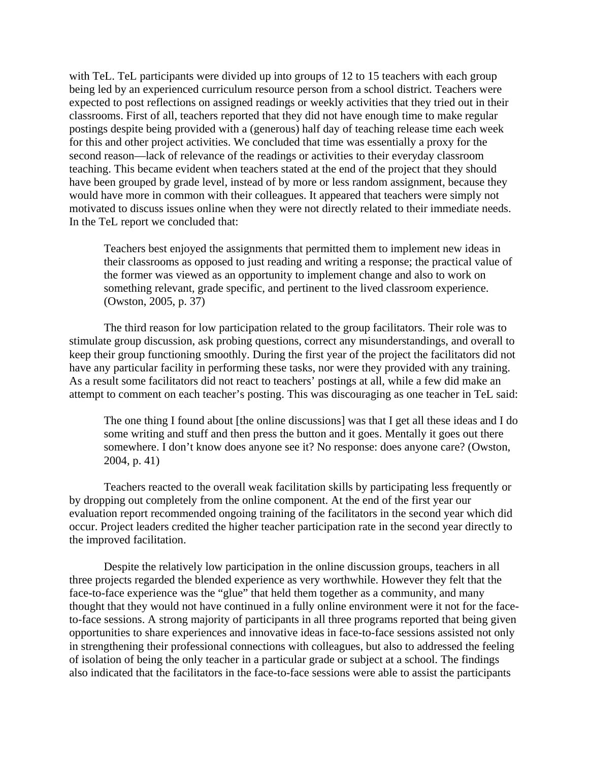with TeL. TeL participants were divided up into groups of 12 to 15 teachers with each group being led by an experienced curriculum resource person from a school district. Teachers were expected to post reflections on assigned readings or weekly activities that they tried out in their classrooms. First of all, teachers reported that they did not have enough time to make regular postings despite being provided with a (generous) half day of teaching release time each week for this and other project activities. We concluded that time was essentially a proxy for the second reason—lack of relevance of the readings or activities to their everyday classroom teaching. This became evident when teachers stated at the end of the project that they should have been grouped by grade level, instead of by more or less random assignment, because they would have more in common with their colleagues. It appeared that teachers were simply not motivated to discuss issues online when they were not directly related to their immediate needs. In the TeL report we concluded that:

Teachers best enjoyed the assignments that permitted them to implement new ideas in their classrooms as opposed to just reading and writing a response; the practical value of the former was viewed as an opportunity to implement change and also to work on something relevant, grade specific, and pertinent to the lived classroom experience. (Owston, 2005, p. 37)

The third reason for low participation related to the group facilitators. Their role was to stimulate group discussion, ask probing questions, correct any misunderstandings, and overall to keep their group functioning smoothly. During the first year of the project the facilitators did not have any particular facility in performing these tasks, nor were they provided with any training. As a result some facilitators did not react to teachers' postings at all, while a few did make an attempt to comment on each teacher's posting. This was discouraging as one teacher in TeL said:

The one thing I found about [the online discussions] was that I get all these ideas and I do some writing and stuff and then press the button and it goes. Mentally it goes out there somewhere. I don't know does anyone see it? No response: does anyone care? (Owston, 2004, p. 41)

Teachers reacted to the overall weak facilitation skills by participating less frequently or by dropping out completely from the online component. At the end of the first year our evaluation report recommended ongoing training of the facilitators in the second year which did occur. Project leaders credited the higher teacher participation rate in the second year directly to the improved facilitation.

Despite the relatively low participation in the online discussion groups, teachers in all three projects regarded the blended experience as very worthwhile. However they felt that the face-to-face experience was the "glue" that held them together as a community, and many thought that they would not have continued in a fully online environment were it not for the faceto-face sessions. A strong majority of participants in all three programs reported that being given opportunities to share experiences and innovative ideas in face-to-face sessions assisted not only in strengthening their professional connections with colleagues, but also to addressed the feeling of isolation of being the only teacher in a particular grade or subject at a school. The findings also indicated that the facilitators in the face-to-face sessions were able to assist the participants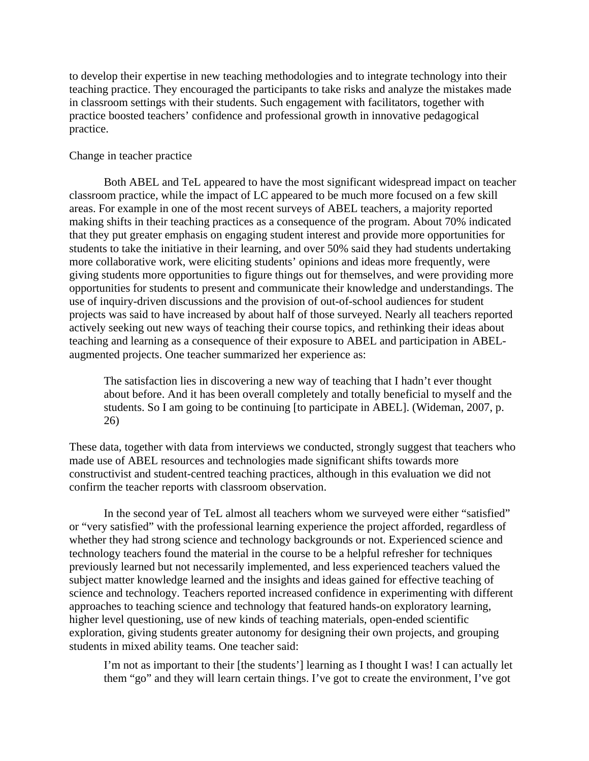to develop their expertise in new teaching methodologies and to integrate technology into their teaching practice. They encouraged the participants to take risks and analyze the mistakes made in classroom settings with their students. Such engagement with facilitators, together with practice boosted teachers' confidence and professional growth in innovative pedagogical practice.

## Change in teacher practice

Both ABEL and TeL appeared to have the most significant widespread impact on teacher classroom practice, while the impact of LC appeared to be much more focused on a few skill areas. For example in one of the most recent surveys of ABEL teachers, a majority reported making shifts in their teaching practices as a consequence of the program. About 70% indicated that they put greater emphasis on engaging student interest and provide more opportunities for students to take the initiative in their learning, and over 50% said they had students undertaking more collaborative work, were eliciting students' opinions and ideas more frequently, were giving students more opportunities to figure things out for themselves, and were providing more opportunities for students to present and communicate their knowledge and understandings. The use of inquiry-driven discussions and the provision of out-of-school audiences for student projects was said to have increased by about half of those surveyed. Nearly all teachers reported actively seeking out new ways of teaching their course topics, and rethinking their ideas about teaching and learning as a consequence of their exposure to ABEL and participation in ABELaugmented projects. One teacher summarized her experience as:

The satisfaction lies in discovering a new way of teaching that I hadn't ever thought about before. And it has been overall completely and totally beneficial to myself and the students. So I am going to be continuing [to participate in ABEL]. (Wideman, 2007, p. 26)

These data, together with data from interviews we conducted, strongly suggest that teachers who made use of ABEL resources and technologies made significant shifts towards more constructivist and student-centred teaching practices, although in this evaluation we did not confirm the teacher reports with classroom observation.

In the second year of TeL almost all teachers whom we surveyed were either "satisfied" or "very satisfied" with the professional learning experience the project afforded, regardless of whether they had strong science and technology backgrounds or not. Experienced science and technology teachers found the material in the course to be a helpful refresher for techniques previously learned but not necessarily implemented, and less experienced teachers valued the subject matter knowledge learned and the insights and ideas gained for effective teaching of science and technology. Teachers reported increased confidence in experimenting with different approaches to teaching science and technology that featured hands-on exploratory learning, higher level questioning, use of new kinds of teaching materials, open-ended scientific exploration, giving students greater autonomy for designing their own projects, and grouping students in mixed ability teams. One teacher said:

I'm not as important to their [the students'] learning as I thought I was! I can actually let them "go" and they will learn certain things. I've got to create the environment, I've got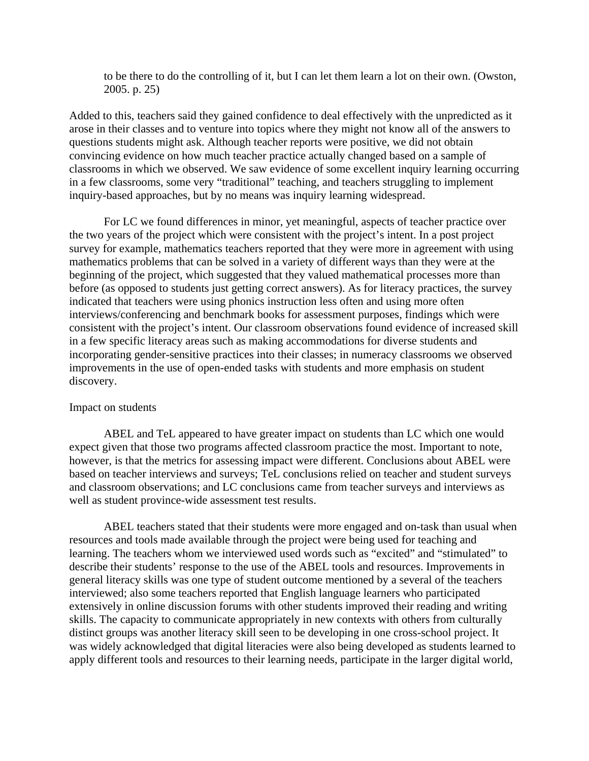to be there to do the controlling of it, but I can let them learn a lot on their own. (Owston, 2005. p. 25)

Added to this, teachers said they gained confidence to deal effectively with the unpredicted as it arose in their classes and to venture into topics where they might not know all of the answers to questions students might ask. Although teacher reports were positive, we did not obtain convincing evidence on how much teacher practice actually changed based on a sample of classrooms in which we observed. We saw evidence of some excellent inquiry learning occurring in a few classrooms, some very "traditional" teaching, and teachers struggling to implement inquiry-based approaches, but by no means was inquiry learning widespread.

For LC we found differences in minor, yet meaningful, aspects of teacher practice over the two years of the project which were consistent with the project's intent. In a post project survey for example, mathematics teachers reported that they were more in agreement with using mathematics problems that can be solved in a variety of different ways than they were at the beginning of the project, which suggested that they valued mathematical processes more than before (as opposed to students just getting correct answers). As for literacy practices, the survey indicated that teachers were using phonics instruction less often and using more often interviews/conferencing and benchmark books for assessment purposes, findings which were consistent with the project's intent. Our classroom observations found evidence of increased skill in a few specific literacy areas such as making accommodations for diverse students and incorporating gender-sensitive practices into their classes; in numeracy classrooms we observed improvements in the use of open-ended tasks with students and more emphasis on student discovery.

#### Impact on students

ABEL and TeL appeared to have greater impact on students than LC which one would expect given that those two programs affected classroom practice the most. Important to note, however, is that the metrics for assessing impact were different. Conclusions about ABEL were based on teacher interviews and surveys; TeL conclusions relied on teacher and student surveys and classroom observations; and LC conclusions came from teacher surveys and interviews as well as student province-wide assessment test results.

ABEL teachers stated that their students were more engaged and on-task than usual when resources and tools made available through the project were being used for teaching and learning. The teachers whom we interviewed used words such as "excited" and "stimulated" to describe their students' response to the use of the ABEL tools and resources. Improvements in general literacy skills was one type of student outcome mentioned by a several of the teachers interviewed; also some teachers reported that English language learners who participated extensively in online discussion forums with other students improved their reading and writing skills. The capacity to communicate appropriately in new contexts with others from culturally distinct groups was another literacy skill seen to be developing in one cross-school project. It was widely acknowledged that digital literacies were also being developed as students learned to apply different tools and resources to their learning needs, participate in the larger digital world,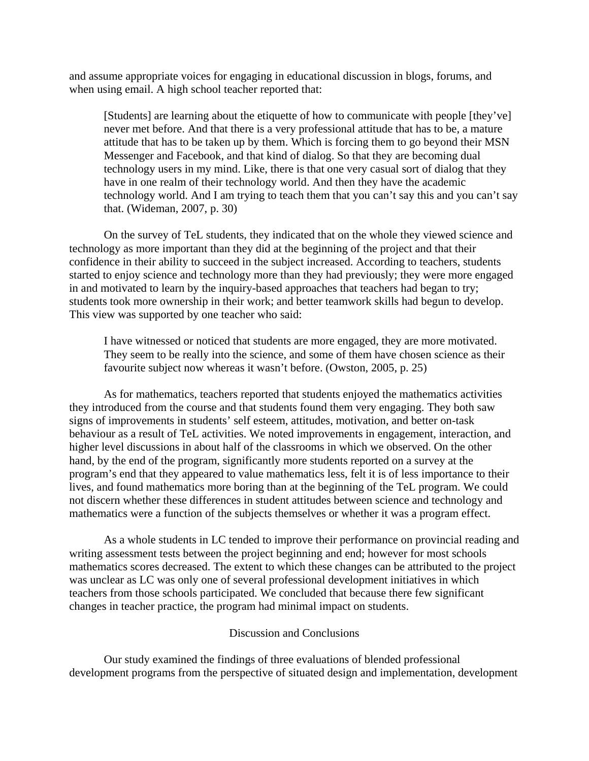and assume appropriate voices for engaging in educational discussion in blogs, forums, and when using email. A high school teacher reported that:

[Students] are learning about the etiquette of how to communicate with people [they've] never met before. And that there is a very professional attitude that has to be, a mature attitude that has to be taken up by them. Which is forcing them to go beyond their MSN Messenger and Facebook, and that kind of dialog. So that they are becoming dual technology users in my mind. Like, there is that one very casual sort of dialog that they have in one realm of their technology world. And then they have the academic technology world. And I am trying to teach them that you can't say this and you can't say that. (Wideman, 2007, p. 30)

On the survey of TeL students, they indicated that on the whole they viewed science and technology as more important than they did at the beginning of the project and that their confidence in their ability to succeed in the subject increased. According to teachers, students started to enjoy science and technology more than they had previously; they were more engaged in and motivated to learn by the inquiry-based approaches that teachers had began to try; students took more ownership in their work; and better teamwork skills had begun to develop. This view was supported by one teacher who said:

I have witnessed or noticed that students are more engaged, they are more motivated. They seem to be really into the science, and some of them have chosen science as their favourite subject now whereas it wasn't before. (Owston, 2005, p. 25)

As for mathematics, teachers reported that students enjoyed the mathematics activities they introduced from the course and that students found them very engaging. They both saw signs of improvements in students' self esteem, attitudes, motivation, and better on-task behaviour as a result of TeL activities. We noted improvements in engagement, interaction, and higher level discussions in about half of the classrooms in which we observed. On the other hand, by the end of the program, significantly more students reported on a survey at the program's end that they appeared to value mathematics less, felt it is of less importance to their lives, and found mathematics more boring than at the beginning of the TeL program. We could not discern whether these differences in student attitudes between science and technology and mathematics were a function of the subjects themselves or whether it was a program effect.

As a whole students in LC tended to improve their performance on provincial reading and writing assessment tests between the project beginning and end; however for most schools mathematics scores decreased. The extent to which these changes can be attributed to the project was unclear as LC was only one of several professional development initiatives in which teachers from those schools participated. We concluded that because there few significant changes in teacher practice, the program had minimal impact on students.

### Discussion and Conclusions

Our study examined the findings of three evaluations of blended professional development programs from the perspective of situated design and implementation, development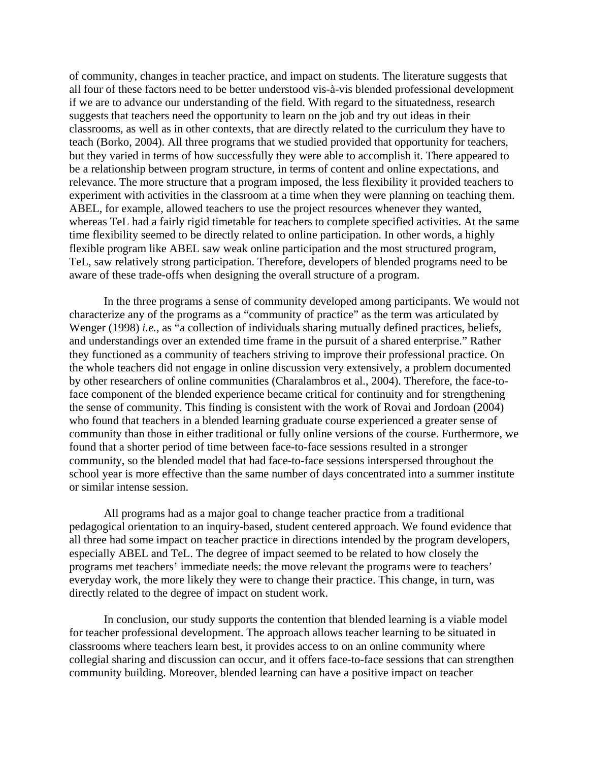of community, changes in teacher practice, and impact on students. The literature suggests that all four of these factors need to be better understood vis-à-vis blended professional development if we are to advance our understanding of the field. With regard to the situatedness, research suggests that teachers need the opportunity to learn on the job and try out ideas in their classrooms, as well as in other contexts, that are directly related to the curriculum they have to teach (Borko, 2004). All three programs that we studied provided that opportunity for teachers, but they varied in terms of how successfully they were able to accomplish it. There appeared to be a relationship between program structure, in terms of content and online expectations, and relevance. The more structure that a program imposed, the less flexibility it provided teachers to experiment with activities in the classroom at a time when they were planning on teaching them. ABEL, for example, allowed teachers to use the project resources whenever they wanted, whereas TeL had a fairly rigid timetable for teachers to complete specified activities. At the same time flexibility seemed to be directly related to online participation. In other words, a highly flexible program like ABEL saw weak online participation and the most structured program, TeL, saw relatively strong participation. Therefore, developers of blended programs need to be aware of these trade-offs when designing the overall structure of a program.

In the three programs a sense of community developed among participants. We would not characterize any of the programs as a "community of practice" as the term was articulated by Wenger (1998) *i.e.*, as "a collection of individuals sharing mutually defined practices, beliefs, and understandings over an extended time frame in the pursuit of a shared enterprise." Rather they functioned as a community of teachers striving to improve their professional practice. On the whole teachers did not engage in online discussion very extensively, a problem documented by other researchers of online communities (Charalambros et al., 2004). Therefore, the face-toface component of the blended experience became critical for continuity and for strengthening the sense of community. This finding is consistent with the work of Rovai and Jordoan (2004) who found that teachers in a blended learning graduate course experienced a greater sense of community than those in either traditional or fully online versions of the course. Furthermore, we found that a shorter period of time between face-to-face sessions resulted in a stronger community, so the blended model that had face-to-face sessions interspersed throughout the school year is more effective than the same number of days concentrated into a summer institute or similar intense session.

All programs had as a major goal to change teacher practice from a traditional pedagogical orientation to an inquiry-based, student centered approach. We found evidence that all three had some impact on teacher practice in directions intended by the program developers, especially ABEL and TeL. The degree of impact seemed to be related to how closely the programs met teachers' immediate needs: the move relevant the programs were to teachers' everyday work, the more likely they were to change their practice. This change, in turn, was directly related to the degree of impact on student work.

In conclusion, our study supports the contention that blended learning is a viable model for teacher professional development. The approach allows teacher learning to be situated in classrooms where teachers learn best, it provides access to on an online community where collegial sharing and discussion can occur, and it offers face-to-face sessions that can strengthen community building. Moreover, blended learning can have a positive impact on teacher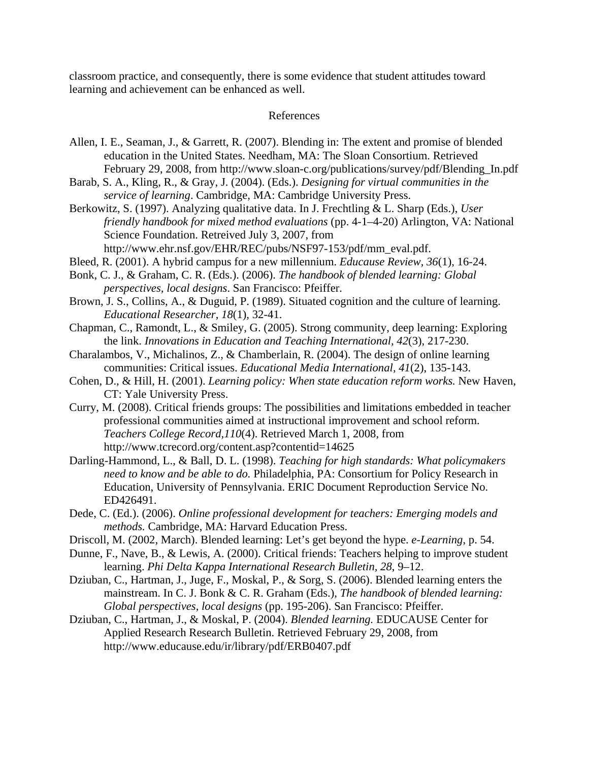classroom practice, and consequently, there is some evidence that student attitudes toward learning and achievement can be enhanced as well.

### References

- Allen, I. E., Seaman, J., & Garrett, R. (2007). Blending in: The extent and promise of blended education in the United States. Needham, MA: The Sloan Consortium. Retrieved February 29, 2008, from http://www.sloan-c.org/publications/survey/pdf/Blending\_In.pdf
- Barab, S. A., Kling, R., & Gray, J. (2004). (Eds.). *Designing for virtual communities in the service of learning*. Cambridge, MA: Cambridge University Press.
- Berkowitz, S. (1997). Analyzing qualitative data. In J. Frechtling & L. Sharp (Eds.), *User friendly handbook for mixed method evaluations* (pp. 4-1–4-20) Arlington, VA: National Science Foundation. Retreived July 3, 2007, from http://www.ehr.nsf.gov/EHR/REC/pubs/NSF97-153/pdf/mm\_eval.pdf.
- Bleed, R. (2001). A hybrid campus for a new millennium. *Educause Review, 36*(1), 16-24.
- Bonk, C. J., & Graham, C. R. (Eds.). (2006). *The handbook of blended learning: Global perspectives, local designs*. San Francisco: Pfeiffer.
- Brown, J. S., Collins, A., & Duguid, P. (1989). Situated cognition and the culture of learning. *Educational Researcher, 18*(1), 32-41.
- Chapman, C., Ramondt, L., & Smiley, G. (2005). Strong community, deep learning: Exploring the link. *Innovations in Education and Teaching International, 42*(3), 217-230.
- Charalambos, V., Michalinos, Z., & Chamberlain, R. (2004). The design of online learning communities: Critical issues. *Educational Media International, 41*(2), 135-143.
- Cohen, D., & Hill, H. (2001). *Learning policy: When state education reform works.* New Haven, CT: Yale University Press.
- Curry, M. (2008). Critical friends groups: The possibilities and limitations embedded in teacher professional communities aimed at instructional improvement and school reform. *Teachers College Record,110*(4). Retrieved March 1, 2008, from http://www.tcrecord.org/content.asp?contentid=14625
- Darling-Hammond, L., & Ball, D. L. (1998). *Teaching for high standards: What policymakers need to know and be able to do.* Philadelphia, PA: Consortium for Policy Research in Education, University of Pennsylvania. ERIC Document Reproduction Service No. ED426491.
- Dede, C. (Ed.). (2006). *Online professional development for teachers: Emerging models and methods.* Cambridge, MA: Harvard Education Press.
- Driscoll, M. (2002, March). Blended learning: Let's get beyond the hype. *e-Learning*, p. 54.
- Dunne, F., Nave, B., & Lewis, A. (2000). Critical friends: Teachers helping to improve student learning. *Phi Delta Kappa International Research Bulletin, 28*, 9–12.
- Dziuban, C., Hartman, J., Juge, F., Moskal, P., & Sorg, S. (2006). Blended learning enters the mainstream. In C. J. Bonk & C. R. Graham (Eds.), *The handbook of blended learning: Global perspectives, local designs* (pp. 195-206). San Francisco: Pfeiffer.
- Dziuban, C., Hartman, J., & Moskal, P. (2004). *Blended learning.* EDUCAUSE Center for Applied Research Research Bulletin. Retrieved February 29, 2008, from http://www.educause.edu/ir/library/pdf/ERB0407.pdf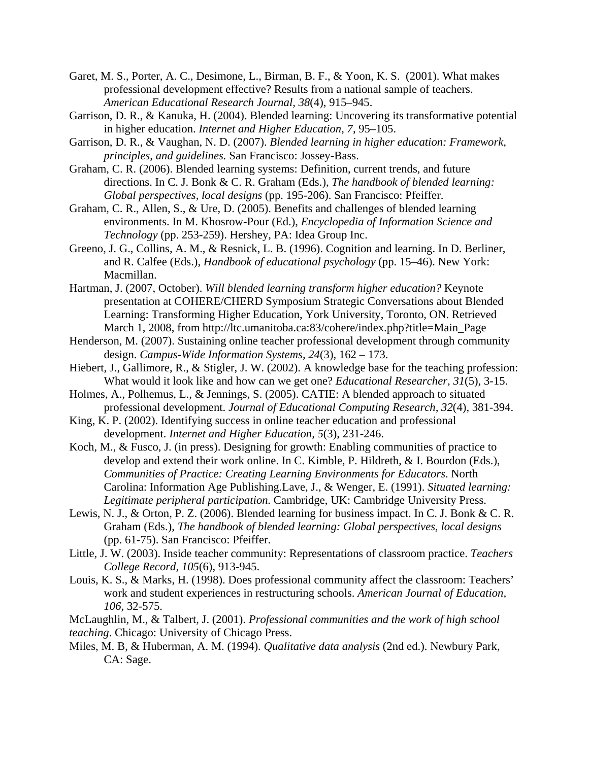- Garet, M. S., Porter, A. C., Desimone, L., Birman, B. F., & Yoon, K. S. (2001). What makes professional development effective? Results from a national sample of teachers. *American Educational Research Journal, 38*(4), 915–945.
- Garrison, D. R., & Kanuka, H. (2004). Blended learning: Uncovering its transformative potential in higher education. *Internet and Higher Education, 7*, 95–105.
- Garrison, D. R., & Vaughan, N. D. (2007). *Blended learning in higher education: Framework, principles, and guidelines.* San Francisco: Jossey-Bass.
- Graham, C. R. (2006). Blended learning systems: Definition, current trends, and future directions. In C. J. Bonk & C. R. Graham (Eds.), *The handbook of blended learning: Global perspectives, local designs* (pp. 195-206). San Francisco: Pfeiffer.
- Graham, C. R., Allen, S., & Ure, D. (2005). Benefits and challenges of blended learning environments. In M. Khosrow-Pour (Ed.), *Encyclopedia of Information Science and Technology* (pp. 253-259). Hershey, PA: Idea Group Inc.
- Greeno, J. G., Collins, A. M., & Resnick, L. B. (1996). Cognition and learning. In D. Berliner, and R. Calfee (Eds.), *Handbook of educational psychology* (pp. 15–46). New York: Macmillan.
- Hartman, J. (2007, October). *Will blended learning transform higher education?* Keynote presentation at COHERE/CHERD Symposium Strategic Conversations about Blended Learning: Transforming Higher Education, York University, Toronto, ON. Retrieved March 1, 2008, from http://ltc.umanitoba.ca:83/cohere/index.php?title=Main\_Page
- Henderson, M. (2007). Sustaining online teacher professional development through community design. *Campus-Wide Information Systems, 24*(3), 162 – 173.
- Hiebert, J., Gallimore, R., & Stigler, J. W. (2002). A knowledge base for the teaching profession: What would it look like and how can we get one? *Educational Researcher, 31*(5), 3-15.
- Holmes, A., Polhemus, L., & Jennings, S. (2005). CATIE: A blended approach to situated professional development. *Journal of Educational Computing Research, 32*(4)*,* 381-394.
- King, K. P. (2002). Identifying success in online teacher education and professional development. *Internet and Higher Education, 5*(3), 231-246.
- Koch, M., & Fusco, J. (in press). Designing for growth: Enabling communities of practice to develop and extend their work online. In C. Kimble, P. Hildreth, & I. Bourdon (Eds.), *Communities of Practice: Creating Learning Environments for Educators*. North Carolina: Information Age Publishing.Lave, J., & Wenger, E. (1991). *Situated learning: Legitimate peripheral participation.* Cambridge, UK: Cambridge University Press.
- Lewis, N. J., & Orton, P. Z. (2006). Blended learning for business impact. In C. J. Bonk & C. R. Graham (Eds.), *The handbook of blended learning: Global perspectives, local designs* (pp. 61-75). San Francisco: Pfeiffer.
- Little, J. W. (2003). Inside teacher community: Representations of classroom practice. *Teachers College Record, 105*(6), 913-945.
- Louis, K. S., & Marks, H. (1998). Does professional community affect the classroom: Teachers' work and student experiences in restructuring schools. *American Journal of Education, 106*, 32-575.
- McLaughlin, M., & Talbert, J. (2001). *Professional communities and the work of high school*

*teaching*. Chicago: University of Chicago Press.

Miles, M. B, & Huberman, A. M. (1994). *Qualitative data analysis* (2nd ed.). Newbury Park, CA: Sage.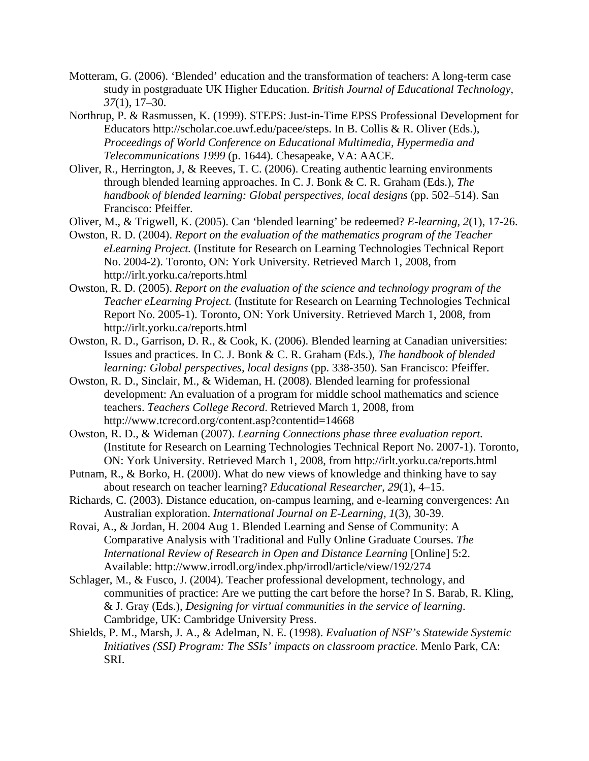- Motteram, G. (2006). 'Blended' education and the transformation of teachers: A long-term case study in postgraduate UK Higher Education. *British Journal of Educational Technology, 37*(1), 17–30.
- Northrup, P. & Rasmussen, K. (1999). STEPS: Just-in-Time EPSS Professional Development for Educators http://scholar.coe.uwf.edu/pacee/steps. In B. Collis & R. Oliver (Eds.), *Proceedings of World Conference on Educational Multimedia, Hypermedia and Telecommunications 1999* (p. 1644). Chesapeake, VA: AACE.
- Oliver, R., Herrington, J, & Reeves, T. C. (2006). Creating authentic learning environments through blended learning approaches. In C. J. Bonk & C. R. Graham (Eds.), *The handbook of blended learning: Global perspectives, local designs* (pp. 502–514). San Francisco: Pfeiffer.
- Oliver, M., & Trigwell, K. (2005). Can 'blended learning' be redeemed? *E-learning, 2*(1), 17-26.
- Owston, R. D. (2004). *Report on the evaluation of the mathematics program of the Teacher eLearning Project.* (Institute for Research on Learning Technologies Technical Report No. 2004-2). Toronto, ON: York University. Retrieved March 1, 2008, from http://irlt.yorku.ca/reports.html
- Owston, R. D. (2005). *Report on the evaluation of the science and technology program of the Teacher eLearning Project.* (Institute for Research on Learning Technologies Technical Report No. 2005-1). Toronto, ON: York University. Retrieved March 1, 2008, from http://irlt.yorku.ca/reports.html
- Owston, R. D., Garrison, D. R., & Cook, K. (2006). Blended learning at Canadian universities: Issues and practices. In C. J. Bonk & C. R. Graham (Eds.), *The handbook of blended learning: Global perspectives, local designs* (pp. 338-350). San Francisco: Pfeiffer.
- Owston, R. D., Sinclair, M., & Wideman, H. (2008). Blended learning for professional development: An evaluation of a program for middle school mathematics and science teachers. *Teachers College Record*. Retrieved March 1, 2008, from http://www.tcrecord.org/content.asp?contentid=14668
- Owston, R. D., & Wideman (2007). *Learning Connections phase three evaluation report.*  (Institute for Research on Learning Technologies Technical Report No. 2007-1). Toronto, ON: York University. Retrieved March 1, 2008, from http://irlt.yorku.ca/reports.html
- Putnam, R., & Borko, H. (2000). What do new views of knowledge and thinking have to say about research on teacher learning? *Educational Researcher*, *29*(1), 4–15.
- Richards, C. (2003). Distance education, on-campus learning, and e-learning convergences: An Australian exploration. *International Journal on E-Learning, 1*(3), 30-39.
- Rovai, A., & Jordan, H. 2004 Aug 1. Blended Learning and Sense of Community: A Comparative Analysis with Traditional and Fully Online Graduate Courses. *The International Review of Research in Open and Distance Learning* [Online] 5:2. Available: http://www.irrodl.org/index.php/irrodl/article/view/192/274
- Schlager, M., & Fusco, J. (2004). Teacher professional development, technology, and communities of practice: Are we putting the cart before the horse? In S. Barab, R. Kling, & J. Gray (Eds.), *Designing for virtual communities in the service of learning*. Cambridge, UK: Cambridge University Press.
- Shields, P. M., Marsh, J. A., & Adelman, N. E. (1998). *Evaluation of NSF's Statewide Systemic Initiatives (SSI) Program: The SSIs' impacts on classroom practice.* Menlo Park, CA: SRI.